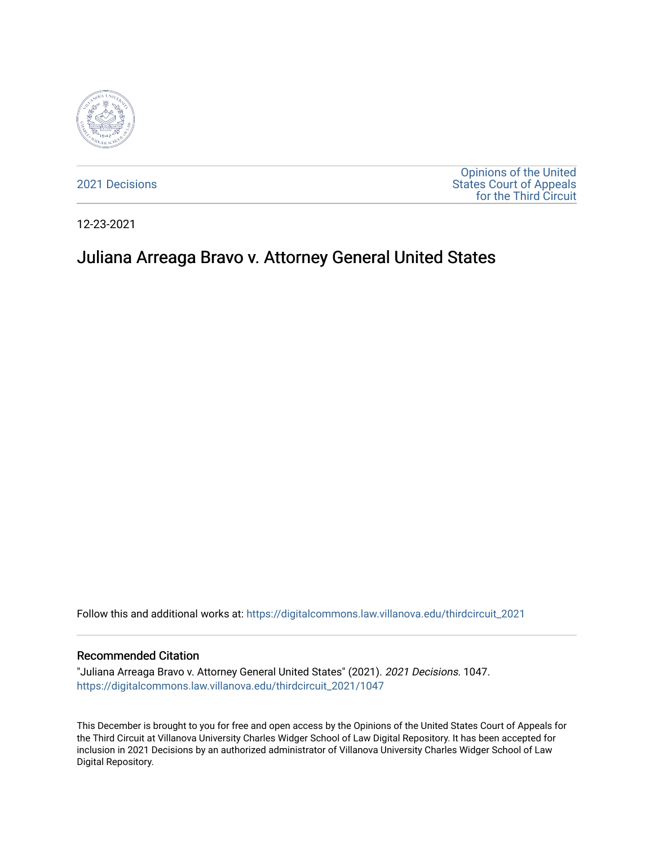

[2021 Decisions](https://digitalcommons.law.villanova.edu/thirdcircuit_2021)

[Opinions of the United](https://digitalcommons.law.villanova.edu/thirdcircuit)  [States Court of Appeals](https://digitalcommons.law.villanova.edu/thirdcircuit)  [for the Third Circuit](https://digitalcommons.law.villanova.edu/thirdcircuit) 

12-23-2021

# Juliana Arreaga Bravo v. Attorney General United States

Follow this and additional works at: [https://digitalcommons.law.villanova.edu/thirdcircuit\\_2021](https://digitalcommons.law.villanova.edu/thirdcircuit_2021?utm_source=digitalcommons.law.villanova.edu%2Fthirdcircuit_2021%2F1047&utm_medium=PDF&utm_campaign=PDFCoverPages) 

#### Recommended Citation

"Juliana Arreaga Bravo v. Attorney General United States" (2021). 2021 Decisions. 1047. [https://digitalcommons.law.villanova.edu/thirdcircuit\\_2021/1047](https://digitalcommons.law.villanova.edu/thirdcircuit_2021/1047?utm_source=digitalcommons.law.villanova.edu%2Fthirdcircuit_2021%2F1047&utm_medium=PDF&utm_campaign=PDFCoverPages) 

This December is brought to you for free and open access by the Opinions of the United States Court of Appeals for the Third Circuit at Villanova University Charles Widger School of Law Digital Repository. It has been accepted for inclusion in 2021 Decisions by an authorized administrator of Villanova University Charles Widger School of Law Digital Repository.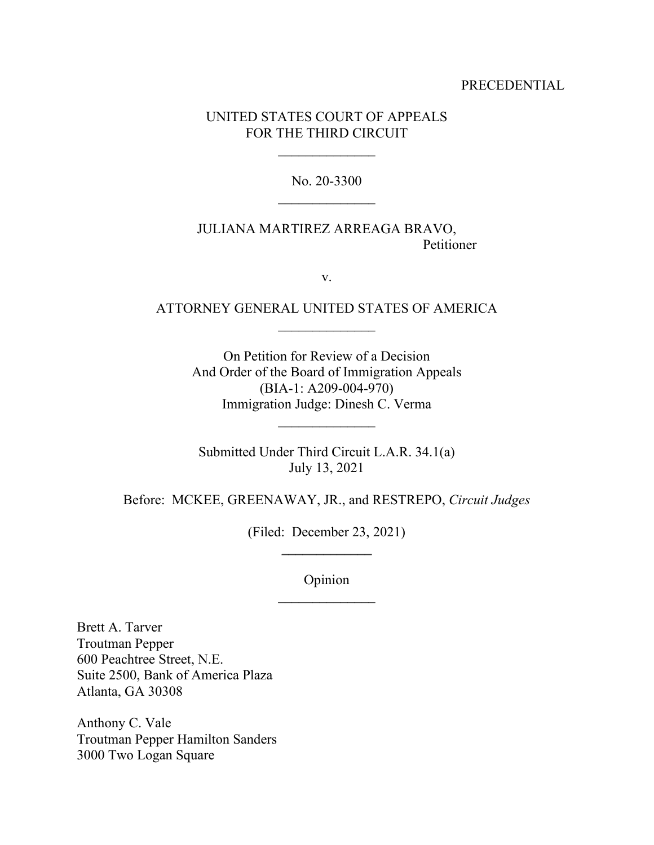#### PRECEDENTIAL

## UNITED STATES COURT OF APPEALS FOR THE THIRD CIRCUIT

No. 20-3300

JULIANA MARTIREZ ARREAGA BRAVO, Petitioner

v.

# ATTORNEY GENERAL UNITED STATES OF AMERICA  $\frac{1}{2}$

On Petition for Review of a Decision And Order of the Board of Immigration Appeals (BIA-1: A209-004-970) Immigration Judge: Dinesh C. Verma

Submitted Under Third Circuit L.A.R. 34.1(a) July 13, 2021

Before: MCKEE, GREENAWAY, JR., and RESTREPO, *Circuit Judges* 

(Filed: December 23, 2021)  $\overline{\phantom{a}}$  , where  $\overline{\phantom{a}}$ 

Opinion

Brett A. Tarver Troutman Pepper 600 Peachtree Street, N.E. Suite 2500, Bank of America Plaza Atlanta, GA 30308

Anthony C. Vale Troutman Pepper Hamilton Sanders 3000 Two Logan Square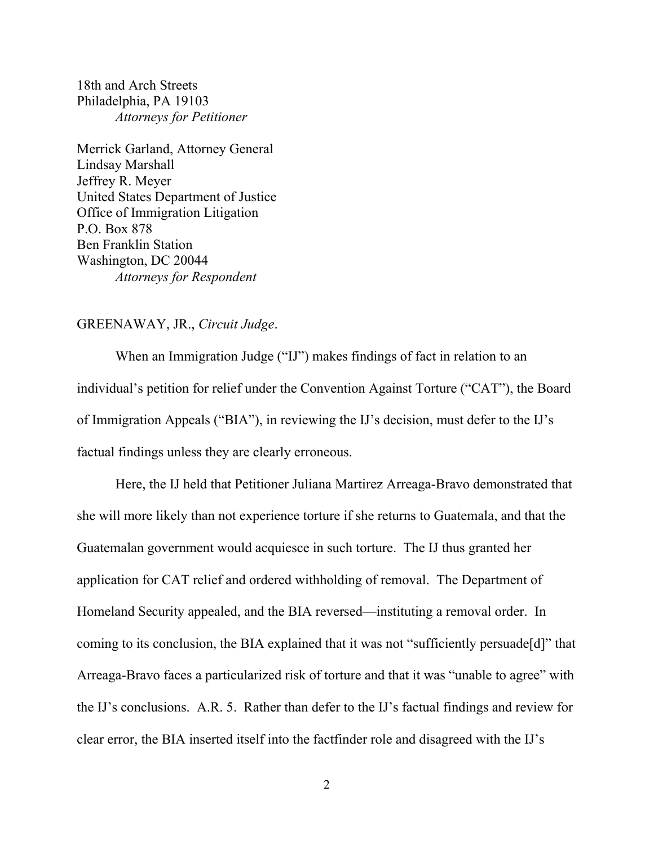18th and Arch Streets Philadelphia, PA 19103 *Attorneys for Petitioner* 

Merrick Garland, Attorney General Lindsay Marshall Jeffrey R. Meyer United States Department of Justice Office of Immigration Litigation P.O. Box 878 Ben Franklin Station Washington, DC 20044 *Attorneys for Respondent* 

## GREENAWAY, JR., *Circuit Judge*.

 When an Immigration Judge ("IJ") makes findings of fact in relation to an individual's petition for relief under the Convention Against Torture ("CAT"), the Board of Immigration Appeals ("BIA"), in reviewing the IJ's decision, must defer to the IJ's factual findings unless they are clearly erroneous.

Here, the IJ held that Petitioner Juliana Martirez Arreaga-Bravo demonstrated that she will more likely than not experience torture if she returns to Guatemala, and that the Guatemalan government would acquiesce in such torture. The IJ thus granted her application for CAT relief and ordered withholding of removal. The Department of Homeland Security appealed, and the BIA reversed—instituting a removal order. In coming to its conclusion, the BIA explained that it was not "sufficiently persuade[d]" that Arreaga-Bravo faces a particularized risk of torture and that it was "unable to agree" with the IJ's conclusions. A.R. 5. Rather than defer to the IJ's factual findings and review for clear error, the BIA inserted itself into the factfinder role and disagreed with the IJ's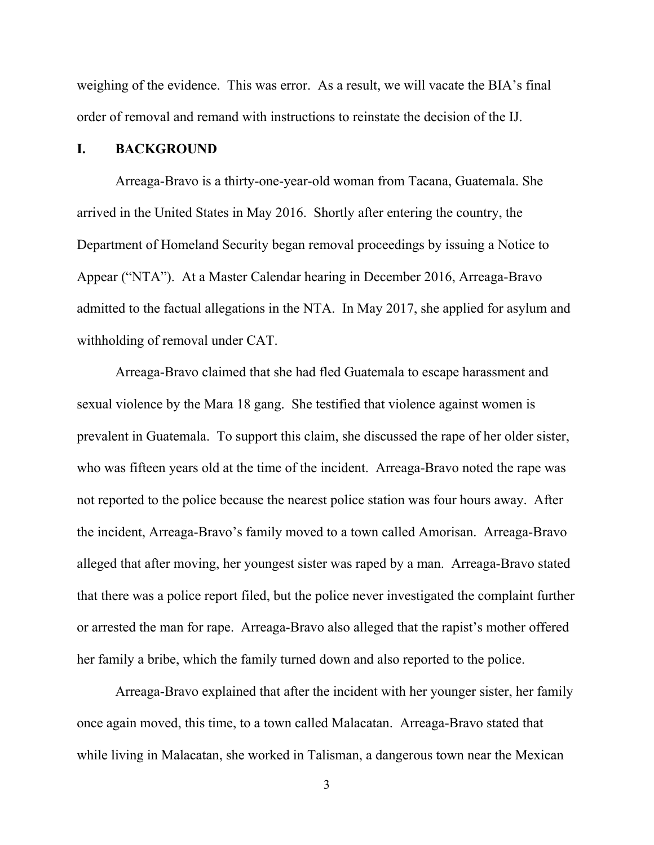weighing of the evidence. This was error. As a result, we will vacate the BIA's final order of removal and remand with instructions to reinstate the decision of the IJ.

# **I. BACKGROUND**

Arreaga-Bravo is a thirty-one-year-old woman from Tacana, Guatemala. She arrived in the United States in May 2016. Shortly after entering the country, the Department of Homeland Security began removal proceedings by issuing a Notice to Appear ("NTA"). At a Master Calendar hearing in December 2016, Arreaga-Bravo admitted to the factual allegations in the NTA. In May 2017, she applied for asylum and withholding of removal under CAT.

Arreaga-Bravo claimed that she had fled Guatemala to escape harassment and sexual violence by the Mara 18 gang. She testified that violence against women is prevalent in Guatemala. To support this claim, she discussed the rape of her older sister, who was fifteen years old at the time of the incident. Arreaga-Bravo noted the rape was not reported to the police because the nearest police station was four hours away. After the incident, Arreaga-Bravo's family moved to a town called Amorisan. Arreaga-Bravo alleged that after moving, her youngest sister was raped by a man. Arreaga-Bravo stated that there was a police report filed, but the police never investigated the complaint further or arrested the man for rape. Arreaga-Bravo also alleged that the rapist's mother offered her family a bribe, which the family turned down and also reported to the police.

Arreaga-Bravo explained that after the incident with her younger sister, her family once again moved, this time, to a town called Malacatan. Arreaga-Bravo stated that while living in Malacatan, she worked in Talisman, a dangerous town near the Mexican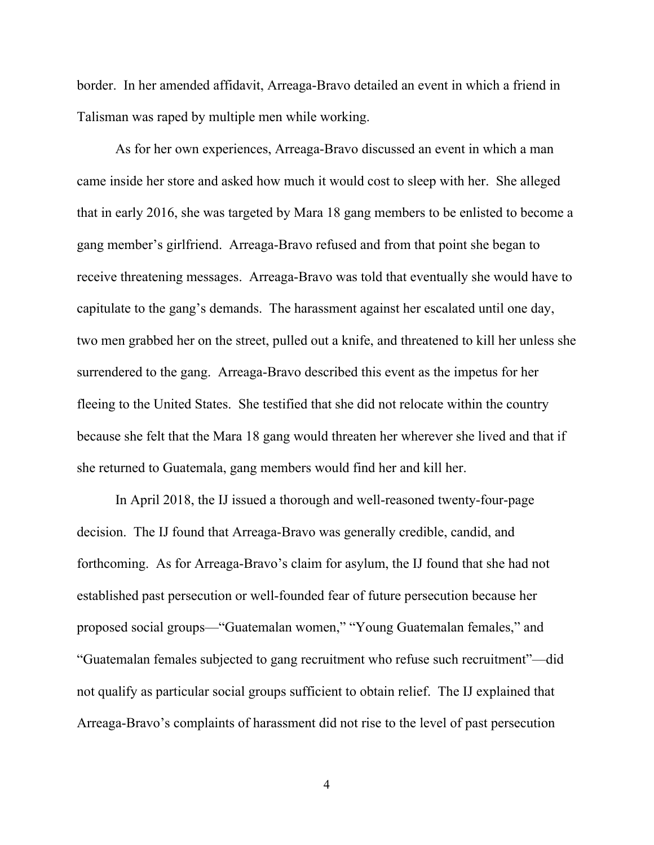border. In her amended affidavit, Arreaga-Bravo detailed an event in which a friend in Talisman was raped by multiple men while working.

As for her own experiences, Arreaga-Bravo discussed an event in which a man came inside her store and asked how much it would cost to sleep with her. She alleged that in early 2016, she was targeted by Mara 18 gang members to be enlisted to become a gang member's girlfriend. Arreaga-Bravo refused and from that point she began to receive threatening messages. Arreaga-Bravo was told that eventually she would have to capitulate to the gang's demands. The harassment against her escalated until one day, two men grabbed her on the street, pulled out a knife, and threatened to kill her unless she surrendered to the gang. Arreaga-Bravo described this event as the impetus for her fleeing to the United States. She testified that she did not relocate within the country because she felt that the Mara 18 gang would threaten her wherever she lived and that if she returned to Guatemala, gang members would find her and kill her.

In April 2018, the IJ issued a thorough and well-reasoned twenty-four-page decision. The IJ found that Arreaga-Bravo was generally credible, candid, and forthcoming. As for Arreaga-Bravo's claim for asylum, the IJ found that she had not established past persecution or well-founded fear of future persecution because her proposed social groups—"Guatemalan women," "Young Guatemalan females," and "Guatemalan females subjected to gang recruitment who refuse such recruitment"—did not qualify as particular social groups sufficient to obtain relief. The IJ explained that Arreaga-Bravo's complaints of harassment did not rise to the level of past persecution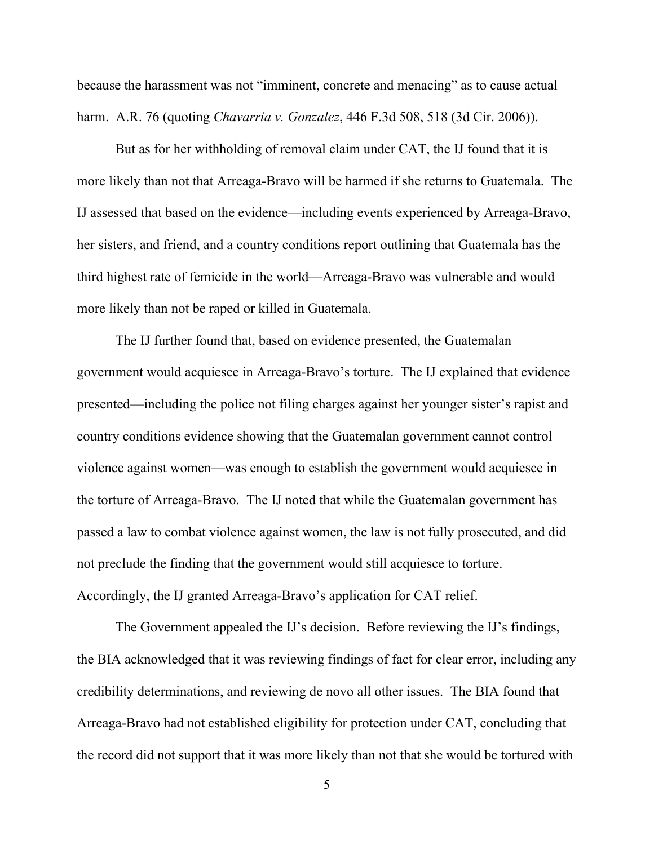because the harassment was not "imminent, concrete and menacing" as to cause actual harm. A.R. 76 (quoting *Chavarria v. Gonzalez*, 446 F.3d 508, 518 (3d Cir. 2006)).

But as for her withholding of removal claim under CAT, the IJ found that it is more likely than not that Arreaga-Bravo will be harmed if she returns to Guatemala. The IJ assessed that based on the evidence—including events experienced by Arreaga-Bravo, her sisters, and friend, and a country conditions report outlining that Guatemala has the third highest rate of femicide in the world—Arreaga-Bravo was vulnerable and would more likely than not be raped or killed in Guatemala.

The IJ further found that, based on evidence presented, the Guatemalan government would acquiesce in Arreaga-Bravo's torture. The IJ explained that evidence presented—including the police not filing charges against her younger sister's rapist and country conditions evidence showing that the Guatemalan government cannot control violence against women—was enough to establish the government would acquiesce in the torture of Arreaga-Bravo. The IJ noted that while the Guatemalan government has passed a law to combat violence against women, the law is not fully prosecuted, and did not preclude the finding that the government would still acquiesce to torture. Accordingly, the IJ granted Arreaga-Bravo's application for CAT relief.

The Government appealed the IJ's decision. Before reviewing the IJ's findings, the BIA acknowledged that it was reviewing findings of fact for clear error, including any credibility determinations, and reviewing de novo all other issues. The BIA found that Arreaga-Bravo had not established eligibility for protection under CAT, concluding that the record did not support that it was more likely than not that she would be tortured with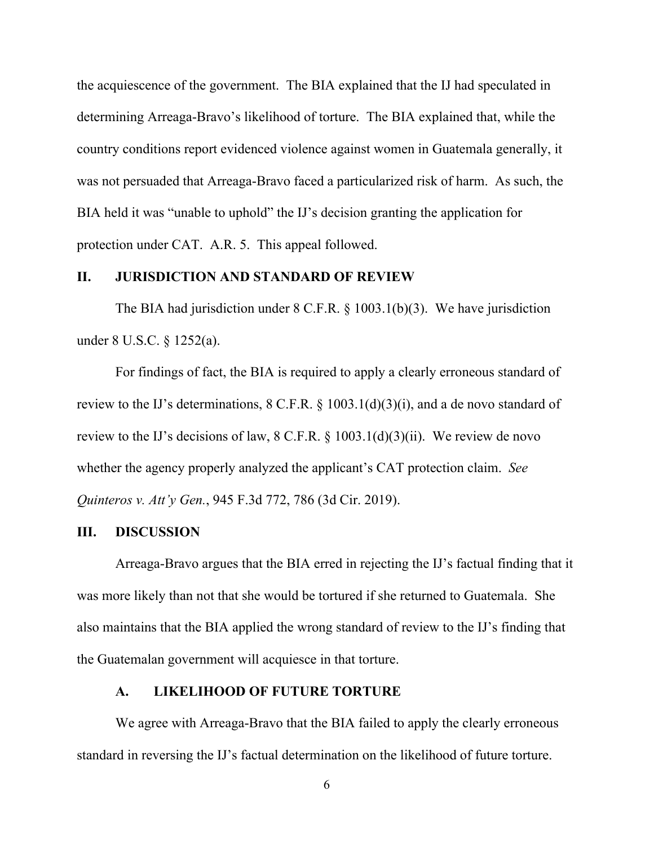the acquiescence of the government. The BIA explained that the IJ had speculated in determining Arreaga-Bravo's likelihood of torture. The BIA explained that, while the country conditions report evidenced violence against women in Guatemala generally, it was not persuaded that Arreaga-Bravo faced a particularized risk of harm. As such, the BIA held it was "unable to uphold" the IJ's decision granting the application for protection under CAT. A.R. 5.This appeal followed.

## **II. JURISDICTION AND STANDARD OF REVIEW**

 The BIA had jurisdiction under 8 C.F.R. § 1003.1(b)(3). We have jurisdiction under 8 U.S.C. § 1252(a).

 For findings of fact, the BIA is required to apply a clearly erroneous standard of review to the IJ's determinations, 8 C.F.R. § 1003.1(d)(3)(i), and a de novo standard of review to the IJ's decisions of law,  $8 \text{ C.F.R.}$   $\S 1003.1(d)(3)(ii)$ . We review de novo whether the agency properly analyzed the applicant's CAT protection claim. *See Quinteros v. Att'y Gen.*, 945 F.3d 772, 786 (3d Cir. 2019).

#### **III. DISCUSSION**

Arreaga-Bravo argues that the BIA erred in rejecting the IJ's factual finding that it was more likely than not that she would be tortured if she returned to Guatemala. She also maintains that the BIA applied the wrong standard of review to the IJ's finding that the Guatemalan government will acquiesce in that torture.

## **A. LIKELIHOOD OF FUTURE TORTURE**

We agree with Arreaga-Bravo that the BIA failed to apply the clearly erroneous standard in reversing the IJ's factual determination on the likelihood of future torture.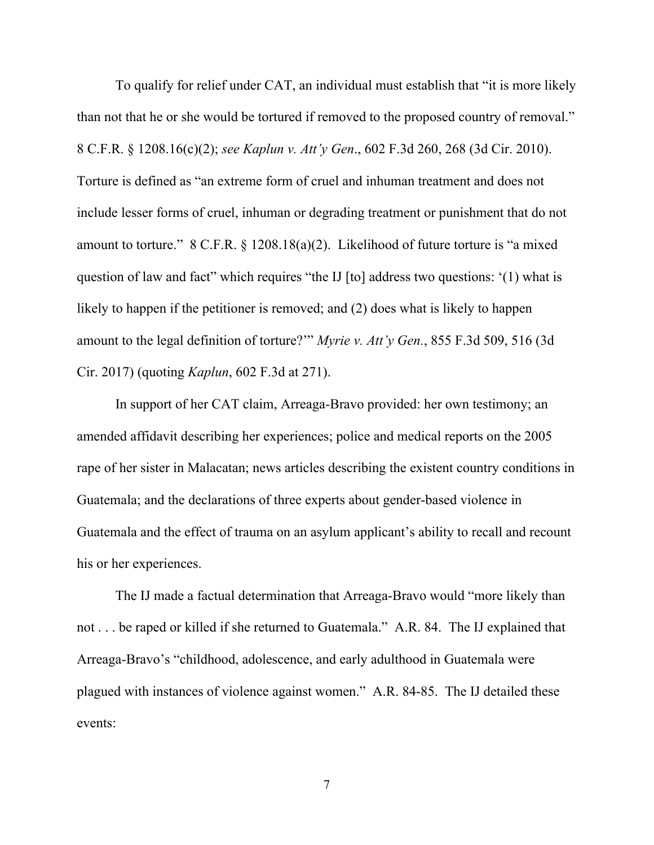To qualify for relief under CAT, an individual must establish that "it is more likely than not that he or she would be tortured if removed to the proposed country of removal." 8 C.F.R. § 1208.16(c)(2); *see Kaplun v. Att'y Gen*., 602 F.3d 260, 268 (3d Cir. 2010). Torture is defined as "an extreme form of cruel and inhuman treatment and does not include lesser forms of cruel, inhuman or degrading treatment or punishment that do not amount to torture." 8 C.F.R. § 1208.18(a)(2). Likelihood of future torture is "a mixed question of law and fact" which requires "the IJ [to] address two questions: '(1) what is likely to happen if the petitioner is removed; and (2) does what is likely to happen amount to the legal definition of torture?'" *Myrie v. Att'y Gen.*, 855 F.3d 509, 516 (3d Cir. 2017) (quoting *Kaplun*, 602 F.3d at 271).

In support of her CAT claim, Arreaga-Bravo provided: her own testimony; an amended affidavit describing her experiences; police and medical reports on the 2005 rape of her sister in Malacatan; news articles describing the existent country conditions in Guatemala; and the declarations of three experts about gender-based violence in Guatemala and the effect of trauma on an asylum applicant's ability to recall and recount his or her experiences.

The IJ made a factual determination that Arreaga-Bravo would "more likely than not . . . be raped or killed if she returned to Guatemala." A.R. 84. The IJ explained that Arreaga-Bravo's "childhood, adolescence, and early adulthood in Guatemala were plagued with instances of violence against women." A.R. 84-85. The IJ detailed these events: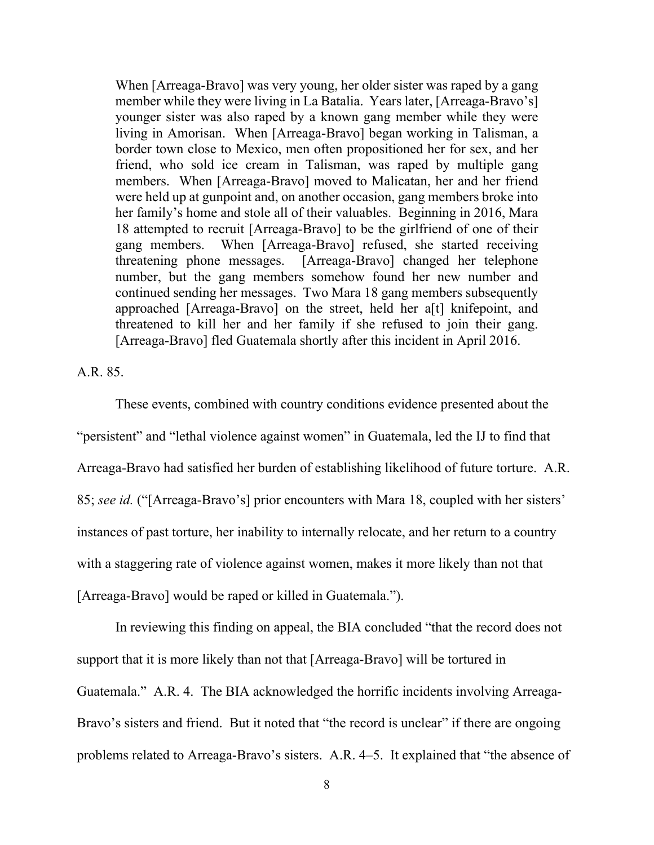When [Arreaga-Bravo] was very young, her older sister was raped by a gang member while they were living in La Batalia. Years later, [Arreaga-Bravo's] younger sister was also raped by a known gang member while they were living in Amorisan. When [Arreaga-Bravo] began working in Talisman, a border town close to Mexico, men often propositioned her for sex, and her friend, who sold ice cream in Talisman, was raped by multiple gang members. When [Arreaga-Bravo] moved to Malicatan, her and her friend were held up at gunpoint and, on another occasion, gang members broke into her family's home and stole all of their valuables. Beginning in 2016, Mara 18 attempted to recruit [Arreaga-Bravo] to be the girlfriend of one of their gang members. When [Arreaga-Bravo] refused, she started receiving threatening phone messages. [Arreaga-Bravo] changed her telephone number, but the gang members somehow found her new number and continued sending her messages. Two Mara 18 gang members subsequently approached [Arreaga-Bravo] on the street, held her a[t] knifepoint, and threatened to kill her and her family if she refused to join their gang. [Arreaga-Bravo] fled Guatemala shortly after this incident in April 2016.

A.R. 85.

These events, combined with country conditions evidence presented about the "persistent" and "lethal violence against women" in Guatemala, led the IJ to find that Arreaga-Bravo had satisfied her burden of establishing likelihood of future torture. A.R. 85; *see id.* ("[Arreaga-Bravo's] prior encounters with Mara 18, coupled with her sisters' instances of past torture, her inability to internally relocate, and her return to a country with a staggering rate of violence against women, makes it more likely than not that [Arreaga-Bravo] would be raped or killed in Guatemala.").

In reviewing this finding on appeal, the BIA concluded "that the record does not support that it is more likely than not that [Arreaga-Bravo] will be tortured in Guatemala." A.R. 4. The BIA acknowledged the horrific incidents involving Arreaga-Bravo's sisters and friend. But it noted that "the record is unclear" if there are ongoing problems related to Arreaga-Bravo's sisters. A.R. 4–5. It explained that "the absence of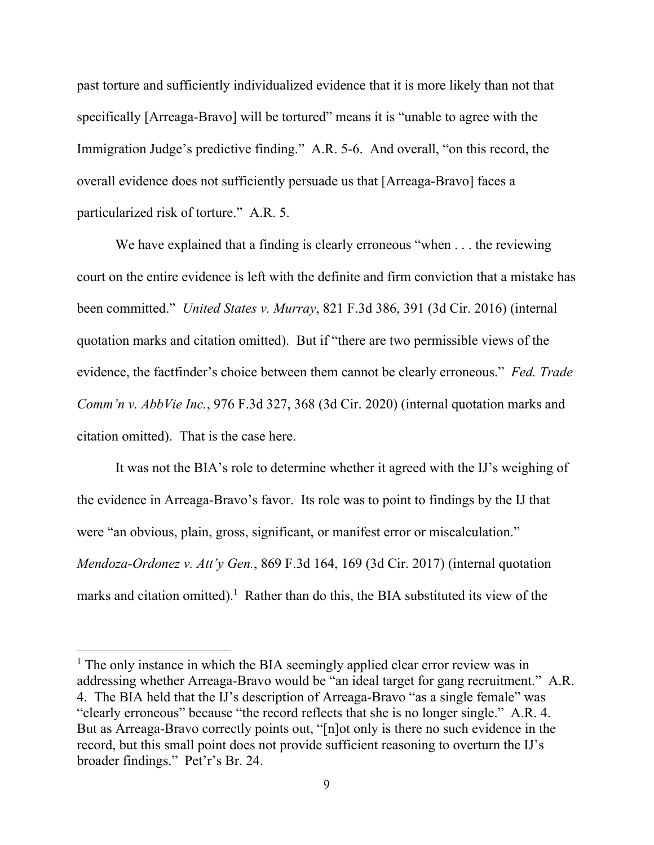past torture and sufficiently individualized evidence that it is more likely than not that specifically [Arreaga-Bravo] will be tortured" means it is "unable to agree with the Immigration Judge's predictive finding." A.R. 5-6. And overall, "on this record, the overall evidence does not sufficiently persuade us that [Arreaga-Bravo] faces a particularized risk of torture." A.R. 5.

We have explained that a finding is clearly erroneous "when . . . the reviewing court on the entire evidence is left with the definite and firm conviction that a mistake has been committed." *United States v. Murray*, 821 F.3d 386, 391 (3d Cir. 2016) (internal quotation marks and citation omitted). But if "there are two permissible views of the evidence, the factfinder's choice between them cannot be clearly erroneous." *Fed. Trade Comm'n v. AbbVie Inc.*, 976 F.3d 327, 368 (3d Cir. 2020) (internal quotation marks and citation omitted). That is the case here.

It was not the BIA's role to determine whether it agreed with the IJ's weighing of the evidence in Arreaga-Bravo's favor. Its role was to point to findings by the IJ that were "an obvious, plain, gross, significant, or manifest error or miscalculation." *Mendoza-Ordonez v. Att'y Gen.*, 869 F.3d 164, 169 (3d Cir. 2017) (internal quotation marks and citation omitted).<sup>1</sup> Rather than do this, the BIA substituted its view of the

<sup>&</sup>lt;sup>1</sup> The only instance in which the BIA seemingly applied clear error review was in addressing whether Arreaga-Bravo would be "an ideal target for gang recruitment." A.R. 4. The BIA held that the IJ's description of Arreaga-Bravo "as a single female" was "clearly erroneous" because "the record reflects that she is no longer single." A.R. 4. But as Arreaga-Bravo correctly points out, "[n]ot only is there no such evidence in the record, but this small point does not provide sufficient reasoning to overturn the IJ's broader findings." Pet'r's Br. 24.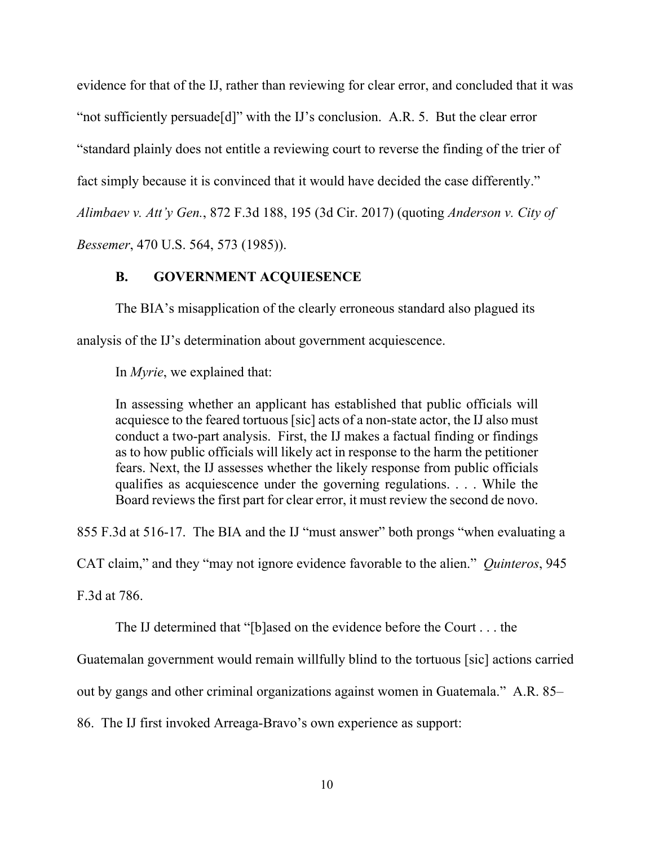evidence for that of the IJ, rather than reviewing for clear error, and concluded that it was "not sufficiently persuade[d]" with the IJ's conclusion. A.R. 5. But the clear error "standard plainly does not entitle a reviewing court to reverse the finding of the trier of fact simply because it is convinced that it would have decided the case differently." *Alimbaev v. Att'y Gen.*, 872 F.3d 188, 195 (3d Cir. 2017) (quoting *Anderson v. City of Bessemer*, 470 U.S. 564, 573 (1985)).

# **B. GOVERNMENT ACQUIESENCE**

The BIA's misapplication of the clearly erroneous standard also plagued its

analysis of the IJ's determination about government acquiescence.

In *Myrie*, we explained that:

In assessing whether an applicant has established that public officials will acquiesce to the feared tortuous [sic] acts of a non-state actor, the IJ also must conduct a two-part analysis. First, the IJ makes a factual finding or findings as to how public officials will likely act in response to the harm the petitioner fears. Next, the IJ assesses whether the likely response from public officials qualifies as acquiescence under the governing regulations. . . . While the Board reviews the first part for clear error, it must review the second de novo.

855 F.3d at 516-17. The BIA and the IJ "must answer" both prongs "when evaluating a

CAT claim," and they "may not ignore evidence favorable to the alien." *Quinteros*, 945

F.3d at 786.

The IJ determined that "[b]ased on the evidence before the Court . . . the

Guatemalan government would remain willfully blind to the tortuous [sic] actions carried

out by gangs and other criminal organizations against women in Guatemala." A.R. 85–

86. The IJ first invoked Arreaga-Bravo's own experience as support: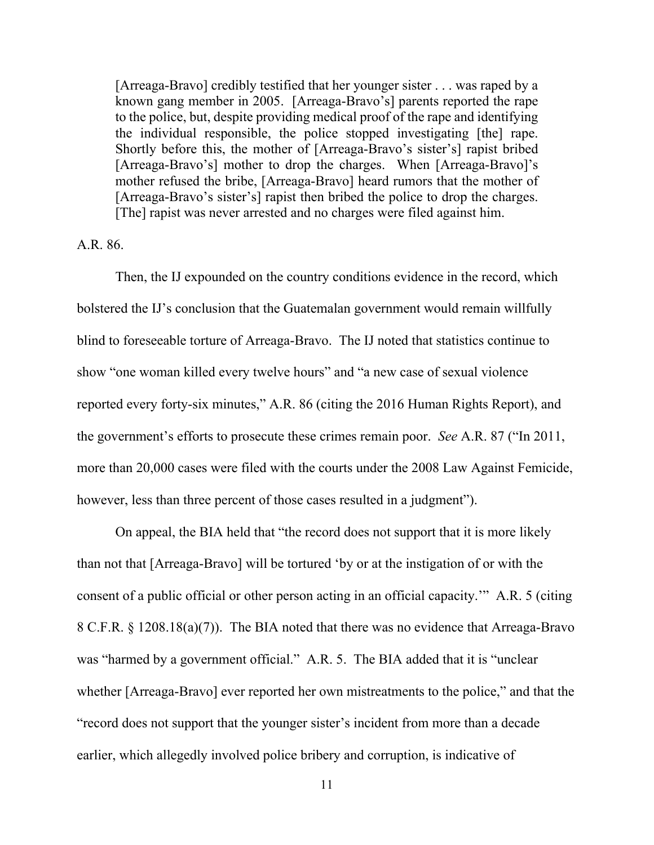[Arreaga-Bravo] credibly testified that her younger sister . . . was raped by a known gang member in 2005. [Arreaga-Bravo's] parents reported the rape to the police, but, despite providing medical proof of the rape and identifying the individual responsible, the police stopped investigating [the] rape. Shortly before this, the mother of [Arreaga-Bravo's sister's] rapist bribed [Arreaga-Bravo's] mother to drop the charges. When [Arreaga-Bravo]'s mother refused the bribe, [Arreaga-Bravo] heard rumors that the mother of [Arreaga-Bravo's sister's] rapist then bribed the police to drop the charges. [The] rapist was never arrested and no charges were filed against him.

### A.R. 86.

Then, the IJ expounded on the country conditions evidence in the record, which bolstered the IJ's conclusion that the Guatemalan government would remain willfully blind to foreseeable torture of Arreaga-Bravo. The IJ noted that statistics continue to show "one woman killed every twelve hours" and "a new case of sexual violence reported every forty-six minutes," A.R. 86 (citing the 2016 Human Rights Report), and the government's efforts to prosecute these crimes remain poor. *See* A.R. 87 ("In 2011, more than 20,000 cases were filed with the courts under the 2008 Law Against Femicide, however, less than three percent of those cases resulted in a judgment").

On appeal, the BIA held that "the record does not support that it is more likely than not that [Arreaga-Bravo] will be tortured 'by or at the instigation of or with the consent of a public official or other person acting in an official capacity.'" A.R. 5 (citing 8 C.F.R. § 1208.18(a)(7)). The BIA noted that there was no evidence that Arreaga-Bravo was "harmed by a government official." A.R. 5. The BIA added that it is "unclear whether [Arreaga-Bravo] ever reported her own mistreatments to the police," and that the "record does not support that the younger sister's incident from more than a decade earlier, which allegedly involved police bribery and corruption, is indicative of